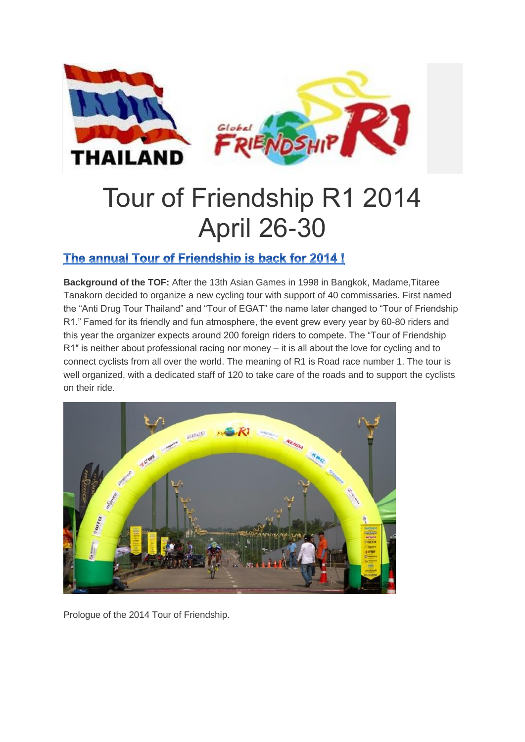

# Tour of Friendship R1 2014 April 26-30

## The annual Tour of Friendship is back for 2014!

**Background of the TOF:** After the 13th Asian Games in 1998 in Bangkok, Madame,Titaree Tanakorn decided to organize a new cycling tour with support of 40 commissaries. First named the "Anti Drug Tour Thailand" and "Tour of EGAT" the name later changed to "Tour of Friendship R1." Famed for its friendly and fun atmosphere, the event grew every year by 60-80 riders and this year the organizer expects around 200 foreign riders to compete. The "Tour of Friendship R1″ is neither about professional racing nor money – it is all about the love for cycling and to connect cyclists from all over the world. The meaning of R1 is Road race number 1. The tour is well organized, with a dedicated staff of 120 to take care of the roads and to support the cyclists on their ride.



Prologue of the 2014 Tour of Friendship.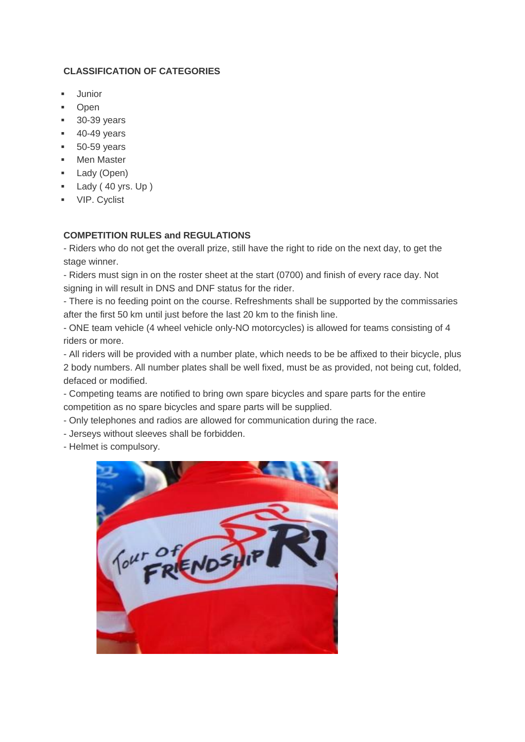#### **CLASSIFICATION OF CATEGORIES**

- Junior
- Open
- 30-39 years
- 40-49 years
- 50-59 years
- Men Master
- Lady (Open)
- Lady ( 40 yrs. Up )
- **vip.** Cyclist

### **COMPETITION RULES and REGULATIONS**

- Riders who do not get the overall prize, still have the right to ride on the next day, to get the stage winner.

- Riders must sign in on the roster sheet at the start (0700) and finish of every race day. Not signing in will result in DNS and DNF status for the rider.

- There is no feeding point on the course. Refreshments shall be supported by the commissaries after the first 50 km until just before the last 20 km to the finish line.

- ONE team vehicle (4 wheel vehicle only-NO motorcycles) is allowed for teams consisting of 4 riders or more.

- All riders will be provided with a number plate, which needs to be be affixed to their bicycle, plus 2 body numbers. All number plates shall be well fixed, must be as provided, not being cut, folded, defaced or modified.

- Competing teams are notified to bring own spare bicycles and spare parts for the entire competition as no spare bicycles and spare parts will be supplied.

- Only telephones and radios are allowed for communication during the race.
- Jerseys without sleeves shall be forbidden.

- Helmet is compulsory.

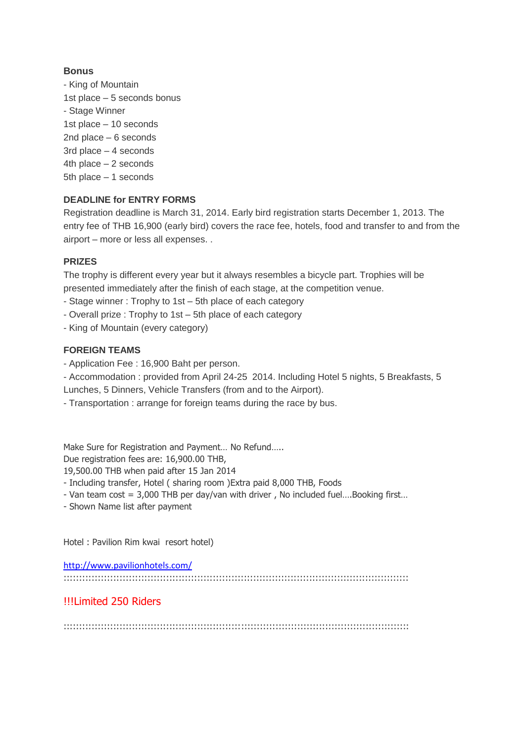#### **Bonus**

- King of Mountain 1st place – 5 seconds bonus - Stage Winner 1st place – 10 seconds 2nd place – 6 seconds 3rd place – 4 seconds 4th place – 2 seconds 5th place – 1 seconds

#### **DEADLINE for ENTRY FORMS**

Registration deadline is March 31, 2014. Early bird registration starts December 1, 2013. The entry fee of THB 16,900 (early bird) covers the race fee, hotels, food and transfer to and from the airport – more or less all expenses. .

#### **PRIZES**

The trophy is different every year but it always resembles a bicycle part. Trophies will be presented immediately after the finish of each stage, at the competition venue.

- Stage winner : Trophy to 1st 5th place of each category
- Overall prize : Trophy to 1st 5th place of each category
- King of Mountain (every category)

#### **FOREIGN TEAMS**

- Application Fee : 16,900 Baht per person.
- Accommodation : provided from April 24-25 2014. Including Hotel 5 nights, 5 Breakfasts, 5 Lunches, 5 Dinners, Vehicle Transfers (from and to the Airport).
- Transportation : arrange for foreign teams during the race by bus.

Make Sure for Registration and Payment… No Refund…..

Due registration fees are: 16,900.00 THB,

19,500.00 THB when paid after 15 Jan 2014

- Including transfer, Hotel ( sharing room )Extra paid 8,000 THB, Foods

- Van team cost = 3,000 THB per day/van with driver , No included fuel….Booking first…
- Shown Name list after payment

Hotel : Pavilion Rim kwai resort hotel)

<http://www.pavilionhotels.com/>

:::::::::::::::::::::::::::::::::::::::::::::::::::::::::::::::::::::::::::::::::::::::::::::::::::::::::::::::

### !!!Limited 250 Riders

:::::::::::::::::::::::::::::::::::::::::::::::::::::::::::::::::::::::::::::::::::::::::::::::::::::::::::::::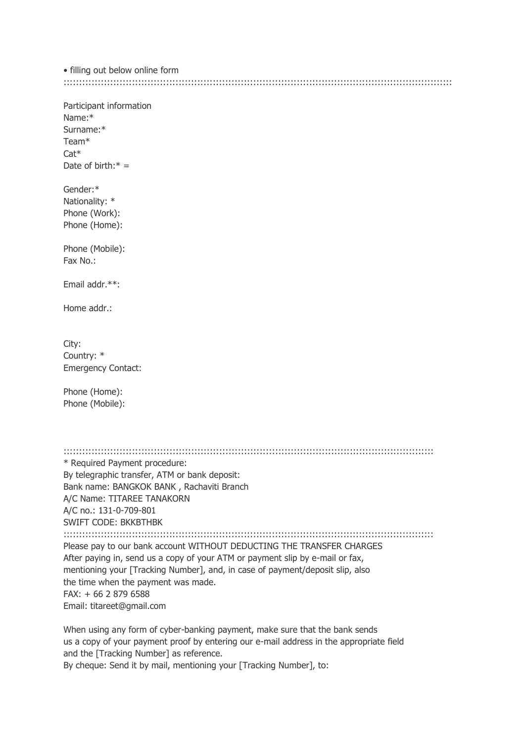· filling out below online form 

Participant information  $N$ ame $\cdot$ \*  $S$ urname $*$ Team<sup>\*</sup>  $Cat*$ Date of birth: $* =$ Gender:\* Nationality: \* Phone (Work): Phone (Home): Phone (Mobile):  $Fax No$ Email addr.\*\*: Home addr · City: Country: \* **Emergency Contact:** Phone (Home): Phone (Mobile): \* Required Payment procedure: By telegraphic transfer, ATM or bank deposit: Bank name: BANGKOK BANK, Rachaviti Branch A/C Name: TITAREE TANAKORN A/C no.: 131-0-709-801 **SWIFT CODE: BKKBTHBK** Please pay to our bank account WITHOUT DEDUCTING THE TRANSFER CHARGES After paying in, send us a copy of your ATM or payment slip by e-mail or fax, mentioning your [Tracking Number], and, in case of payment/deposit slip, also the time when the payment was made.  $FAX: + 6628796588$ 

Email: titareet@gmail.com

When using any form of cyber-banking payment, make sure that the bank sends us a copy of your payment proof by entering our e-mail address in the appropriate field and the [Tracking Number] as reference.

By cheque: Send it by mail, mentioning your [Tracking Number], to: